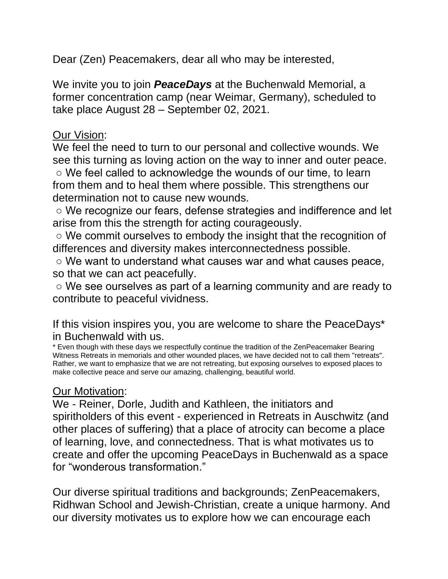Dear (Zen) Peacemakers, dear all who may be interested,

We invite you to join *PeaceDays* at the Buchenwald Memorial, a former concentration camp (near Weimar, Germany), scheduled to take place August 28 – September 02, 2021.

#### Our Vision:

We feel the need to turn to our personal and collective wounds. We see this turning as loving action on the way to inner and outer peace.

○ We feel called to acknowledge the wounds of our time, to learn from them and to heal them where possible. This strengthens our determination not to cause new wounds.

○ We recognize our fears, defense strategies and indifference and let arise from this the strength for acting courageously.

○ We commit ourselves to embody the insight that the recognition of differences and diversity makes interconnectedness possible.

○ We want to understand what causes war and what causes peace, so that we can act peacefully.

○ We see ourselves as part of a learning community and are ready to contribute to peaceful vividness.

If this vision inspires you, you are welcome to share the PeaceDays\* in Buchenwald with us.

\* Even though with these days we respectfully continue the tradition of the ZenPeacemaker Bearing Witness Retreats in memorials and other wounded places, we have decided not to call them "retreats". Rather, we want to emphasize that we are not retreating, but exposing ourselves to exposed places to make collective peace and serve our amazing, challenging, beautiful world.

#### Our Motivation:

We - Reiner, Dorle, Judith and Kathleen, the initiators and spiritholders of this event - experienced in Retreats in Auschwitz (and other places of suffering) that a place of atrocity can become a place of learning, love, and connectedness. That is what motivates us to create and offer the upcoming PeaceDays in Buchenwald as a space for "wonderous transformation."

Our diverse spiritual traditions and backgrounds; ZenPeacemakers, Ridhwan School and Jewish-Christian, create a unique harmony. And our diversity motivates us to explore how we can encourage each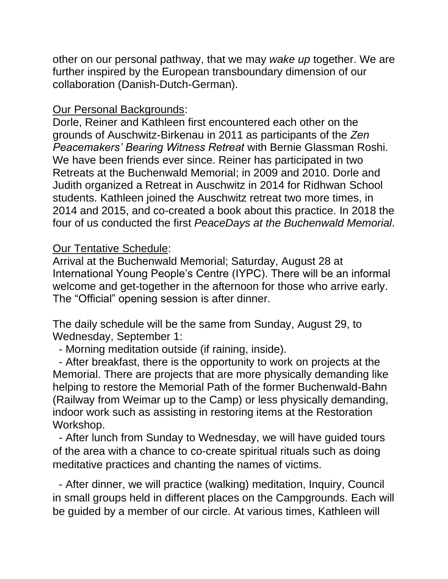other on our personal pathway, that we may *wake up* together. We are further inspired by the European transboundary dimension of our collaboration (Danish-Dutch-German).

### Our Personal Backgrounds:

Dorle, Reiner and Kathleen first encountered each other on the grounds of Auschwitz-Birkenau in 2011 as participants of the *Zen Peacemakers' Bearing Witness Retreat* with Bernie Glassman Roshi. We have been friends ever since. Reiner has participated in two Retreats at the Buchenwald Memorial; in 2009 and 2010. Dorle and Judith organized a Retreat in Auschwitz in 2014 for Ridhwan School students. Kathleen joined the Auschwitz retreat two more times, in 2014 and 2015, and co-created a book about this practice. In 2018 the four of us conducted the first *PeaceDays at the Buchenwald Memorial*.

## Our Tentative Schedule:

Arrival at the Buchenwald Memorial; Saturday, August 28 at International Young People's Centre (IYPC). There will be an informal welcome and get-together in the afternoon for those who arrive early. The "Official" opening session is after dinner.

The daily schedule will be the same from Sunday, August 29, to Wednesday, September 1:

- Morning meditation outside (if raining, inside).

 - After breakfast, there is the opportunity to work on projects at the Memorial. There are projects that are more physically demanding like helping to restore the Memorial Path of the former Buchenwald-Bahn (Railway from Weimar up to the Camp) or less physically demanding, indoor work such as assisting in restoring items at the Restoration Workshop.

 - After lunch from Sunday to Wednesday, we will have guided tours of the area with a chance to co-create spiritual rituals such as doing meditative practices and chanting the names of victims.

 - After dinner, we will practice (walking) meditation, Inquiry, Council in small groups held in different places on the Campgrounds. Each will be guided by a member of our circle. At various times, Kathleen will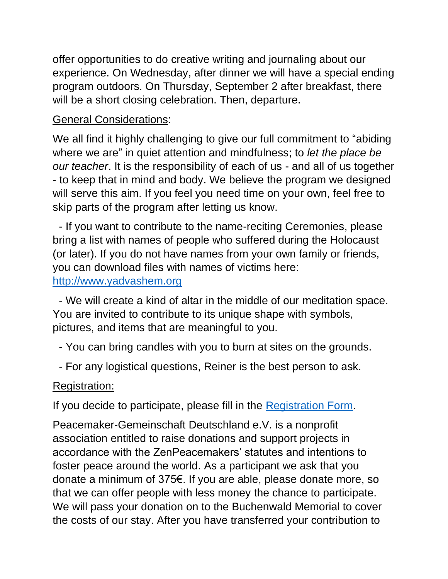offer opportunities to do creative writing and journaling about our experience. On Wednesday, after dinner we will have a special ending program outdoors. On Thursday, September 2 after breakfast, there will be a short closing celebration. Then, departure.

# General Considerations:

We all find it highly challenging to give our full commitment to "abiding where we are" in quiet attention and mindfulness; to *let the place be our teacher*. It is the responsibility of each of us - and all of us together - to keep that in mind and body. We believe the program we designed will serve this aim. If you feel you need time on your own, feel free to skip parts of the program after letting us know.

 - If you want to contribute to the name-reciting Ceremonies, please bring a list with names of people who suffered during the Holocaust (or later). If you do not have names from your own family or friends, you can download files with names of victims here: [http://www.yadvashem.org](http://www.yadvashem.org/)

 - We will create a kind of altar in the middle of our meditation space. You are invited to contribute to its unique shape with symbols, pictures, and items that are meaningful to you.

- You can bring candles with you to burn at sites on the grounds.
- For any logistical questions, Reiner is the best person to ask.

## Registration:

If you decide to participate, please fill in the [Registration Form.](https://docs.google.com/forms/d/e/1FAIpQLSf7JVjlvYpphmoLy4lzg67SmD6O9twncC5xLXjpOaiIjo3_8g/viewform)

Peacemaker-Gemeinschaft Deutschland e.V. is a nonprofit association entitled to raise donations and support projects in accordance with the ZenPeacemakers' statutes and intentions to foster peace around the world. As a participant we ask that you donate a minimum of 375€. If you are able, please donate more, so that we can offer people with less money the chance to participate. We will pass your donation on to the Buchenwald Memorial to cover the costs of our stay. After you have transferred your contribution to